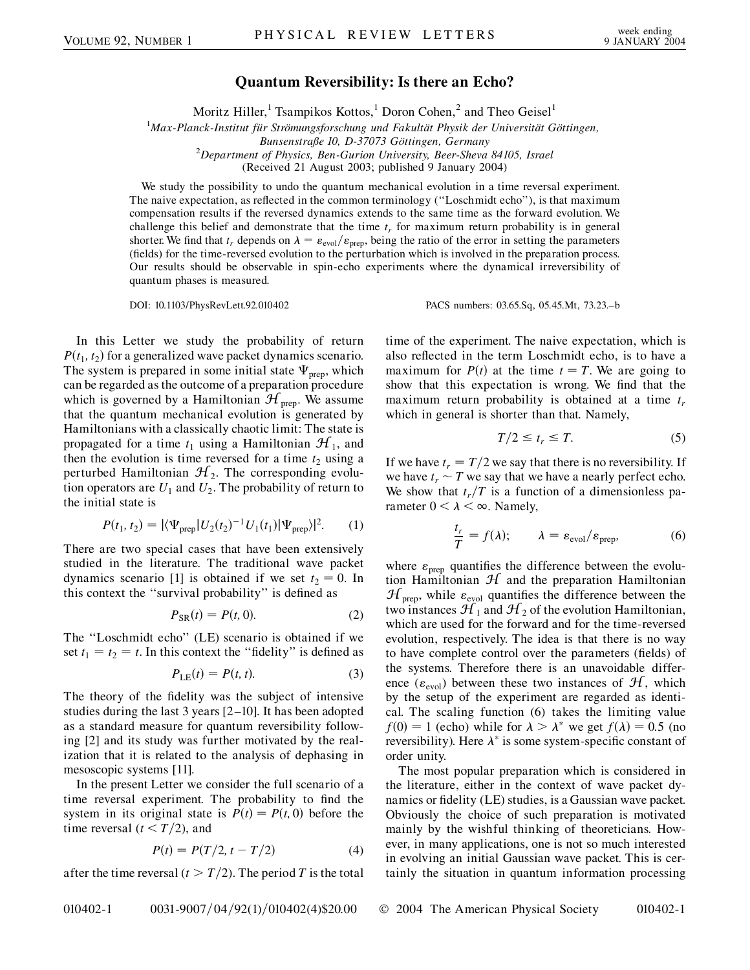## **Quantum Reversibility: Is there an Echo?**

Moritz Hiller,<sup>1</sup> Tsampikos Kottos,<sup>1</sup> Doron Cohen,<sup>2</sup> and Theo Geisel<sup>1</sup>

<sup>1</sup>Max-Planck-Institut für Strömungsforschung und Fakultät Physik der Universität Göttingen,

*Department of Physics, Ben-Gurion University, Beer-Sheva 84105, Israel*

(Received 21 August 2003; published 9 January 2004)

We study the possibility to undo the quantum mechanical evolution in a time reversal experiment. The naive expectation, as reflected in the common terminology (''Loschmidt echo''), is that maximum compensation results if the reversed dynamics extends to the same time as the forward evolution. We challenge this belief and demonstrate that the time  $t_r$  for maximum return probability is in general shorter. We find that  $t_r$  depends on  $\lambda = \varepsilon_{\text{evol}}/\varepsilon_{\text{prep}}$ , being the ratio of the error in setting the parameters (fields) for the time-reversed evolution to the perturbation which is involved in the preparation process. Our results should be observable in spin-echo experiments where the dynamical irreversibility of quantum phases is measured.

DOI: 10.1103/PhysRevLett.92.010402 PACS numbers: 03.65.Sq, 05.45.Mt, 73.23.–b

In this Letter we study the probability of return  $P(t_1, t_2)$  for a generalized wave packet dynamics scenario. The system is prepared in some initial state  $\Psi_{\text{prep}}$ , which can be regarded as the outcome of a preparation procedure which is governed by a Hamiltonian  $\mathcal{H}_{\text{prep}}$ . We assume that the quantum mechanical evolution is generated by Hamiltonians with a classically chaotic limit: The state is propagated for a time  $t_1$  using a Hamiltonian  $\mathcal{H}_1$ , and then the evolution is time reversed for a time  $t_2$  using a perturbed Hamiltonian  $\mathcal{H}_2$ . The corresponding evolution operators are  $U_1$  and  $U_2$ . The probability of return to the initial state is

$$
P(t_1, t_2) = |\langle \Psi_{\text{prep}} | U_2(t_2)^{-1} U_1(t_1) | \Psi_{\text{prep}} \rangle|^2.
$$
 (1)

There are two special cases that have been extensively studied in the literature. The traditional wave packet dynamics scenario [1] is obtained if we set  $t_2 = 0$ . In this context the ''survival probability'' is defined as

$$
P_{\rm SR}(t) = P(t, 0). \tag{2}
$$

The ''Loschmidt echo'' (LE) scenario is obtained if we set  $t_1 = t_2 = t$ . In this context the "fidelity" is defined as

$$
P_{\text{LE}}(t) = P(t, t). \tag{3}
$$

The theory of the fidelity was the subject of intensive studies during the last 3 years [2–10]. It has been adopted as a standard measure for quantum reversibility following [2] and its study was further motivated by the realization that it is related to the analysis of dephasing in mesoscopic systems [11].

In the present Letter we consider the full scenario of a time reversal experiment. The probability to find the system in its original state is  $P(t) = P(t, 0)$  before the time reversal  $(t < T/2)$ , and

$$
P(t) = P(T/2, t - T/2)
$$
 (4)

after the time reversal ( $t > T/2$ ). The period *T* is the total

time of the experiment. The naive expectation, which is also reflected in the term Loschmidt echo, is to have a maximum for  $P(t)$  at the time  $t = T$ . We are going to show that this expectation is wrong. We find that the maximum return probability is obtained at a time *tr* which in general is shorter than that. Namely,

$$
T/2 \le t_r \le T. \tag{5}
$$

If we have  $t_r = T/2$  we say that there is no reversibility. If we have  $t_r \sim T$  we say that we have a nearly perfect echo. We show that  $t_r/T$  is a function of a dimensionless parameter  $0 < \lambda < \infty$ . Namely,

$$
\frac{t_r}{T} = f(\lambda); \qquad \lambda = \varepsilon_{\text{evol}}/\varepsilon_{\text{prep}}, \tag{6}
$$

where  $\varepsilon_{\text{prep}}$  quantifies the difference between the evolution Hamiltonian  $H$  and the preparation Hamiltonian  $\mathcal{H}_{\text{prep}}$ , while  $\varepsilon_{\text{evol}}$  quantifies the difference between the two instances  $\mathcal{H}_1$  and  $\mathcal{H}_2$  of the evolution Hamiltonian, which are used for the forward and for the time-reversed evolution, respectively. The idea is that there is no way to have complete control over the parameters (fields) of the systems. Therefore there is an unavoidable difference ( $\varepsilon_{\text{evol}}$ ) between these two instances of  $\mathcal{H}$ , which by the setup of the experiment are regarded as identical. The scaling function (6) takes the limiting value  $f(0) = 1$  (echo) while for  $\lambda > \lambda^*$  we get  $f(\lambda) = 0.5$  (no reversibility). Here  $\lambda^*$  is some system-specific constant of order unity.

The most popular preparation which is considered in the literature, either in the context of wave packet dynamics or fidelity (LE) studies, is a Gaussian wave packet. Obviously the choice of such preparation is motivated mainly by the wishful thinking of theoreticians. However, in many applications, one is not so much interested in evolving an initial Gaussian wave packet. This is certainly the situation in quantum information processing

Bunsenstraße 10, D-37073 Göttingen, Germany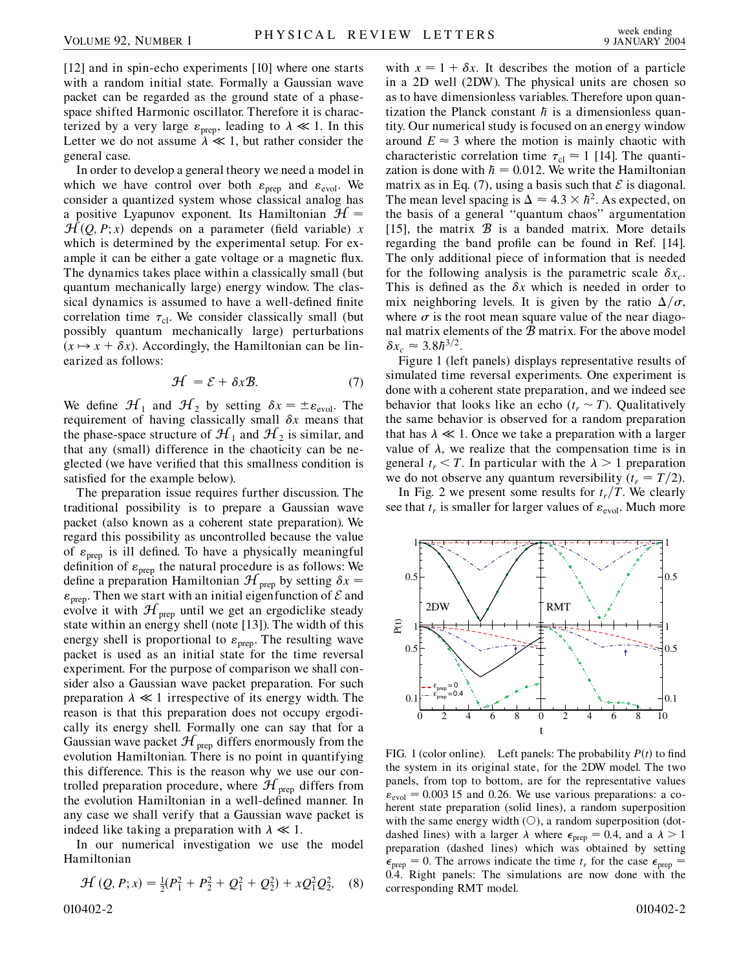[12] and in spin-echo experiments [10] where one starts with a random initial state. Formally a Gaussian wave packet can be regarded as the ground state of a phasespace shifted Harmonic oscillator. Therefore it is characterized by a very large  $\varepsilon_{\text{prep}}$ , leading to  $\lambda \ll 1$ . In this Letter we do not assume  $\lambda \ll 1$ , but rather consider the general case.

In order to develop a general theory we need a model in which we have control over both  $\varepsilon_{\text{prep}}$  and  $\varepsilon_{\text{evol}}$ . We consider a quantized system whose classical analog has a positive Lyapunov exponent. Its Hamiltonian  $\mathcal{H} =$  $\mathcal{H}(Q, P; x)$  depends on a parameter (field variable) *x* which is determined by the experimental setup. For example it can be either a gate voltage or a magnetic flux. The dynamics takes place within a classically small (but quantum mechanically large) energy window. The classical dynamics is assumed to have a well-defined finite correlation time  $\tau_{\text{cl}}$ . We consider classically small (but possibly quantum mechanically large) perturbations  $(x \mapsto x + \delta x)$ . Accordingly, the Hamiltonian can be linearized as follows:

$$
\mathcal{H} = \mathcal{E} + \delta x \mathcal{B}.\tag{7}
$$

We define  $\mathcal{H}_1$  and  $\mathcal{H}_2$  by setting  $\delta x = \pm \varepsilon_{\text{evol}}$ . The requirement of having classically small  $\delta x$  means that the phase-space structure of  $\mathcal{H}_1$  and  $\mathcal{H}_2$  is similar, and that any (small) difference in the chaoticity can be neglected (we have verified that this smallness condition is satisfied for the example below).

The preparation issue requires further discussion. The traditional possibility is to prepare a Gaussian wave packet (also known as a coherent state preparation). We regard this possibility as uncontrolled because the value of  $\varepsilon_{\text{prep}}$  is ill defined. To have a physically meaningful definition of  $\varepsilon_{\text{prep}}$  the natural procedure is as follows: We define a preparation Hamiltonian  $\mathcal{H}_{\text{prep}}$  by setting  $\delta x =$  $\varepsilon_{\text{prep}}$ . Then we start with an initial eigenfunction of  $\mathcal E$  and evolve it with  $\mathcal{H}_{\text{prep}}$  until we get an ergodiclike steady state within an energy shell (note [13]). The width of this energy shell is proportional to  $\varepsilon_{\text{prep}}$ . The resulting wave packet is used as an initial state for the time reversal experiment. For the purpose of comparison we shall consider also a Gaussian wave packet preparation. For such preparation  $\lambda \ll 1$  irrespective of its energy width. The reason is that this preparation does not occupy ergodically its energy shell. Formally one can say that for a Gaussian wave packet  $\mathcal{H}_{\text{prep}}$  differs enormously from the evolution Hamiltonian. There is no point in quantifying this difference. This is the reason why we use our controlled preparation procedure, where  $\mathcal{H}_{\text{prep}}$  differs from the evolution Hamiltonian in a well-defined manner. In any case we shall verify that a Gaussian wave packet is indeed like taking a preparation with  $\lambda \ll 1$ .

In our numerical investigation we use the model Hamiltonian

$$
\mathcal{H}(Q, P; x) = \frac{1}{2}(P_1^2 + P_2^2 + Q_1^2 + Q_2^2) + xQ_1^2Q_2^2, \quad (8)
$$

with  $x = 1 + \delta x$ . It describes the motion of a particle in a 2D well (2DW). The physical units are chosen so as to have dimensionless variables. Therefore upon quantization the Planck constant  $\hbar$  is a dimensionless quantity. Our numerical study is focused on an energy window around  $E \approx 3$  where the motion is mainly chaotic with characteristic correlation time  $\tau_{\text{cl}} \approx 1$  [14]. The quantization is done with  $h = 0.012$ . We write the Hamiltonian matrix as in Eq. (7), using a basis such that  $\mathcal E$  is diagonal. The mean level spacing is  $\Delta \approx 4.3 \times \hbar^2$ . As expected, on the basis of a general ''quantum chaos'' argumentation [15], the matrix  $\mathcal B$  is a banded matrix. More details regarding the band profile can be found in Ref. [14]. The only additional piece of information that is needed for the following analysis is the parametric scale  $\delta x_c$ . This is defined as the  $\delta x$  which is needed in order to mix neighboring levels. It is given by the ratio  $\Delta/\sigma$ , where  $\sigma$  is the root mean square value of the near diagonal matrix elements of the B matrix. For the above model  $\delta x_c \approx 3.8 \hbar^{3/2}$ .

Figure 1 (left panels) displays representative results of simulated time reversal experiments. One experiment is done with a coherent state preparation, and we indeed see behavior that looks like an echo  $(t_r \sim T)$ . Qualitatively the same behavior is observed for a random preparation that has  $\lambda \ll 1$ . Once we take a preparation with a larger value of  $\lambda$ , we realize that the compensation time is in general  $t_r < T$ . In particular with the  $\lambda > 1$  preparation we do not observe any quantum reversibility  $(t_r = T/2)$ .

In Fig. 2 we present some results for  $t_r/T$ . We clearly see that  $t_r$  is smaller for larger values of  $\varepsilon_{\text{evol}}$ . Much more



FIG. 1 (color online). Left panels: The probability  $P(t)$  to find the system in its original state, for the 2DW model. The two panels, from top to bottom, are for the representative values  $\varepsilon_{\text{evol}} = 0.00315$  and 0.26. We use various preparations: a coherent state preparation (solid lines), a random superposition with the same energy width  $(O)$ , a random superposition (dotdashed lines) with a larger  $\lambda$  where  $\epsilon_{\text{prep}} = 0.4$ , and a  $\lambda > 1$ preparation (dashed lines) which was obtained by setting  $\epsilon_{\text{prep}} = 0$ . The arrows indicate the time  $t_r$  for the case  $\epsilon_{\text{prep}} =$ 0*:*4. Right panels: The simulations are now done with the corresponding RMT model.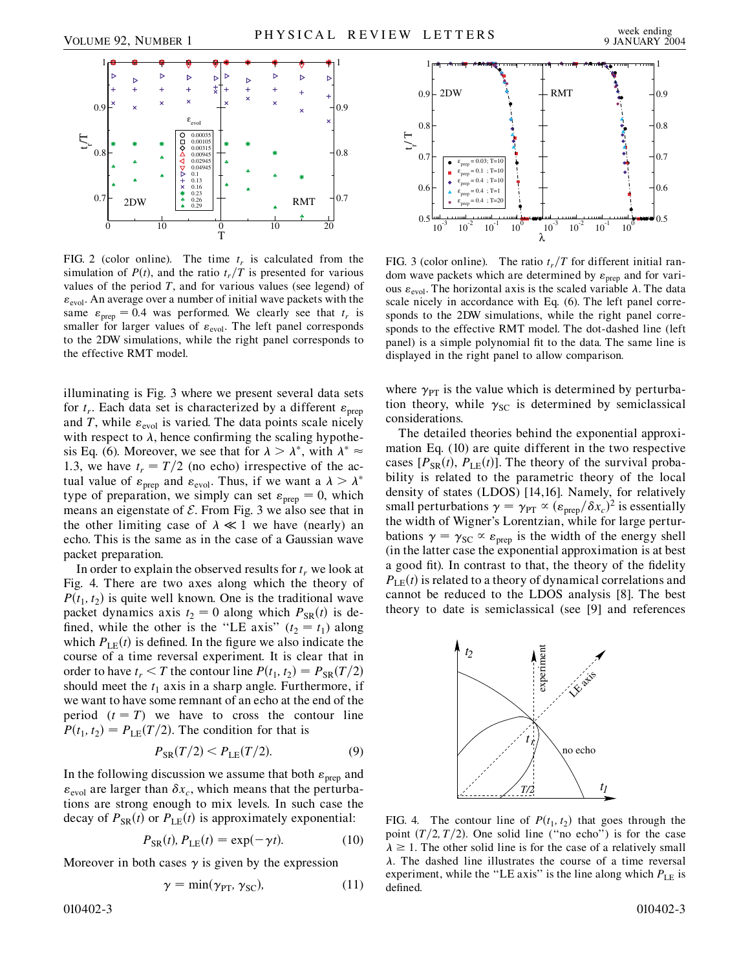

FIG. 2 (color online). The time  $t_r$  is calculated from the simulation of  $P(t)$ , and the ratio  $t_r/T$  is presented for various values of the period  $T$ , and for various values (see legend) of  $\varepsilon_{\text{evol}}$ . An average over a number of initial wave packets with the same  $\varepsilon_{\text{prep}} = 0.4$  was performed. We clearly see that  $t_r$  is smaller for larger values of  $\varepsilon_{\text{evol}}$ . The left panel corresponds to the 2DW simulations, while the right panel corresponds to the effective RMT model.

illuminating is Fig. 3 where we present several data sets for  $t_r$ . Each data set is characterized by a different  $\varepsilon_{\text{prep}}$ and *T*, while  $\varepsilon_{\text{evol}}$  is varied. The data points scale nicely with respect to  $\lambda$ , hence confirming the scaling hypothesis Eq. (6). Moreover, we see that for  $\lambda > \lambda^*$ , with  $\lambda^* \approx$ 1.3, we have  $t_r = T/2$  (no echo) irrespective of the actual value of  $\varepsilon_{\text{prep}}$  and  $\varepsilon_{\text{evol}}$ . Thus, if we want a  $\lambda > \lambda^*$ type of preparation, we simply can set  $\varepsilon_{\text{prep}} = 0$ , which means an eigenstate of  $\mathcal E$ . From Fig. 3 we also see that in the other limiting case of  $\lambda \ll 1$  we have (nearly) an echo. This is the same as in the case of a Gaussian wave packet preparation.

In order to explain the observed results for  $t_r$  we look at Fig. 4. There are two axes along which the theory of  $P(t_1, t_2)$  is quite well known. One is the traditional wave packet dynamics axis  $t_2 = 0$  along which  $P_{SR}(t)$  is defined, while the other is the "LE axis"  $(t_2 = t_1)$  along which  $P_{LE}(t)$  is defined. In the figure we also indicate the course of a time reversal experiment. It is clear that in order to have  $t_r < T$  the contour line  $P(t_1, t_2) = P_{SR}(T/2)$ should meet the  $t_1$  axis in a sharp angle. Furthermore, if we want to have some remnant of an echo at the end of the period  $(t = T)$  we have to cross the contour line  $P(t_1, t_2) = P_{LE}(T/2)$ . The condition for that is

$$
P_{\rm SR}(T/2) < P_{\rm LE}(T/2). \tag{9}
$$

In the following discussion we assume that both  $\varepsilon_{\text{prep}}$  and  $\varepsilon_{\text{evol}}$  are larger than  $\delta x_c$ , which means that the perturbations are strong enough to mix levels. In such case the decay of  $P_{SR}(t)$  or  $P_{LE}(t)$  is approximately exponential:

$$
P_{\text{SR}}(t), P_{\text{LE}}(t) = \exp(-\gamma t). \tag{10}
$$

Moreover in both cases  $\gamma$  is given by the expression

$$
\gamma = \min(\gamma_{\text{PT}}, \gamma_{\text{SC}}),\tag{11}
$$

010402-3 010402-3



FIG. 3 (color online). The ratio  $t_r/T$  for different initial random wave packets which are determined by  $\varepsilon_{\text{prep}}$  and for various  $\varepsilon_{\text{evol}}$ . The horizontal axis is the scaled variable  $\lambda$ . The data scale nicely in accordance with Eq. (6). The left panel corresponds to the 2DW simulations, while the right panel corresponds to the effective RMT model. The dot-dashed line (left panel) is a simple polynomial fit to the data. The same line is displayed in the right panel to allow comparison.

where  $\gamma_{PT}$  is the value which is determined by perturbation theory, while  $\gamma_{SC}$  is determined by semiclassical considerations.

The detailed theories behind the exponential approximation Eq. (10) are quite different in the two respective cases  $[P_{SR}(t), P_{LE}(t)]$ . The theory of the survival probability is related to the parametric theory of the local density of states (LDOS) [14,16]. Namely, for relatively small perturbations  $\gamma = \gamma_{PT} \propto (\varepsilon_{prep}/\delta x_c)^2$  is essentially the width of Wigner's Lorentzian, while for large perturbations  $\gamma = \gamma_{SC} \propto \varepsilon_{prep}$  is the width of the energy shell (in the latter case the exponential approximation is at best a good fit). In contrast to that, the theory of the fidelity  $P_{\text{LE}}(t)$  is related to a theory of dynamical correlations and cannot be reduced to the LDOS analysis [8]. The best theory to date is semiclassical (see [9] and references



FIG. 4. The contour line of  $P(t_1, t_2)$  that goes through the point  $(T/2, T/2)$ . One solid line ("no echo") is for the case  $\lambda \geq 1$ . The other solid line is for the case of a relatively small  $\lambda$ . The dashed line illustrates the course of a time reversal experiment, while the "LE axis" is the line along which  $P_{LE}$  is defined.